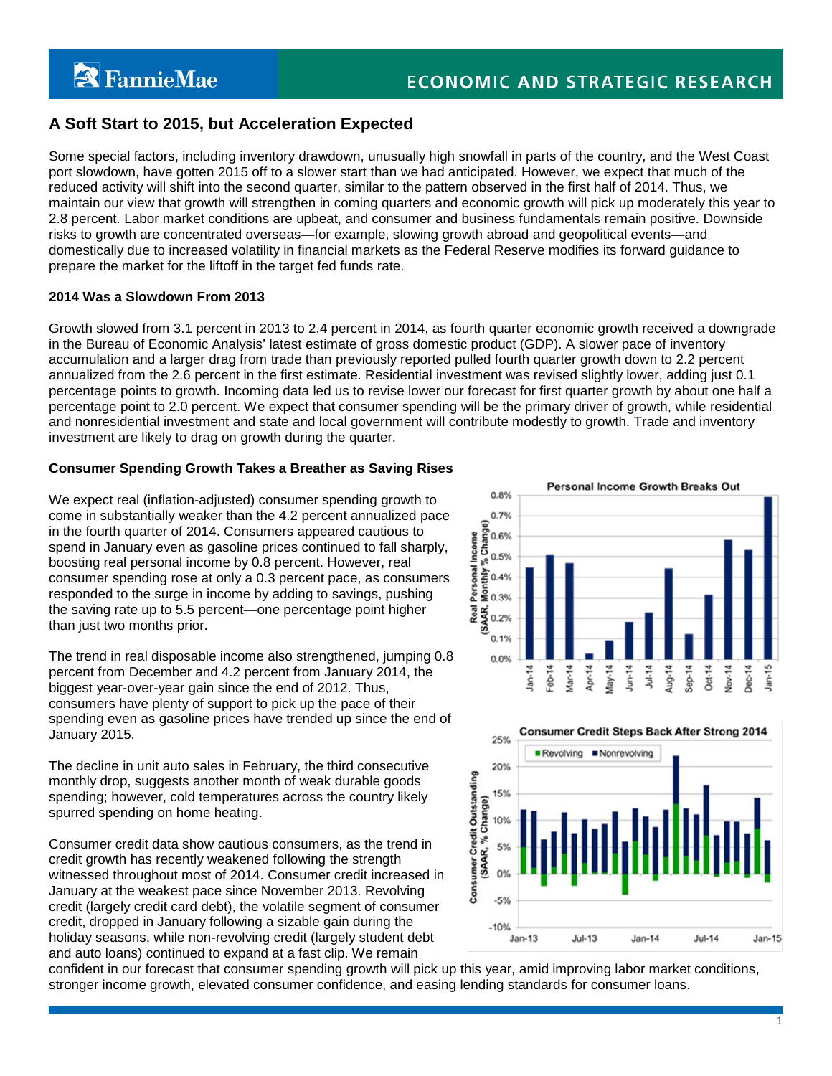# **A Soft Start to 2015, but Acceleration Expected**

Some special factors, including inventory drawdown, unusually high snowfall in parts of the country, and the West Coast port slowdown, have gotten 2015 off to a slower start than we had anticipated. However, we expect that much of the reduced activity will shift into the second quarter, similar to the pattern observed in the first half of 2014. Thus, we maintain our view that growth will strengthen in coming quarters and economic growth will pick up moderately this year to 2.8 percent. Labor market conditions are upbeat, and consumer and business fundamentals remain positive. Downside risks to growth are concentrated overseas—for example, slowing growth abroad and geopolitical events—and domestically due to increased volatility in financial markets as the Federal Reserve modifies its forward guidance to prepare the market for the liftoff in the target fed funds rate.

#### **2014 Was a Slowdown From 2013**

Growth slowed from 3.1 percent in 2013 to 2.4 percent in 2014, as fourth quarter economic growth received a downgrade in the Bureau of Economic Analysis' latest estimate of gross domestic product (GDP). A slower pace of inventory accumulation and a larger drag from trade than previously reported pulled fourth quarter growth down to 2.2 percent annualized from the 2.6 percent in the first estimate. Residential investment was revised slightly lower, adding just 0.1 percentage points to growth. Incoming data led us to revise lower our forecast for first quarter growth by about one half a percentage point to 2.0 percent. We expect that consumer spending will be the primary driver of growth, while residential and nonresidential investment and state and local government will contribute modestly to growth. Trade and inventory investment are likely to drag on growth during the quarter.

# **Consumer Spending Growth Takes a Breather as Saving Rises**

We expect real (inflation-adjusted) consumer spending growth to come in substantially weaker than the 4.2 percent annualized pace in the fourth quarter of 2014. Consumers appeared cautious to spend in January even as gasoline prices continued to fall sharply, boosting real personal income by 0.8 percent. However, real consumer spending rose at only a 0.3 percent pace, as consumers responded to the surge in income by adding to savings, pushing the saving rate up to 5.5 percent—one percentage point higher than just two months prior.

The trend in real disposable income also strengthened, jumping 0.8 percent from December and 4.2 percent from January 2014, the biggest year-over-year gain since the end of 2012. Thus, consumers have plenty of support to pick up the pace of their spending even as gasoline prices have trended up since the end of January 2015.

The decline in unit auto sales in February, the third consecutive monthly drop, suggests another month of weak durable goods spending; however, cold temperatures across the country likely spurred spending on home heating.

Consumer credit data show cautious consumers, as the trend in credit growth has recently weakened following the strength witnessed throughout most of 2014. Consumer credit increased in January at the weakest pace since November 2013. Revolving credit (largely credit card debt), the volatile segment of consumer credit, dropped in January following a sizable gain during the holiday seasons, while non-revolving credit (largely student debt and auto loans) continued to expand at a fast clip. We remain





confident in our forecast that consumer spending growth will pick up this year, amid improving labor market conditions, stronger income growth, elevated consumer confidence, and easing lending standards for consumer loans.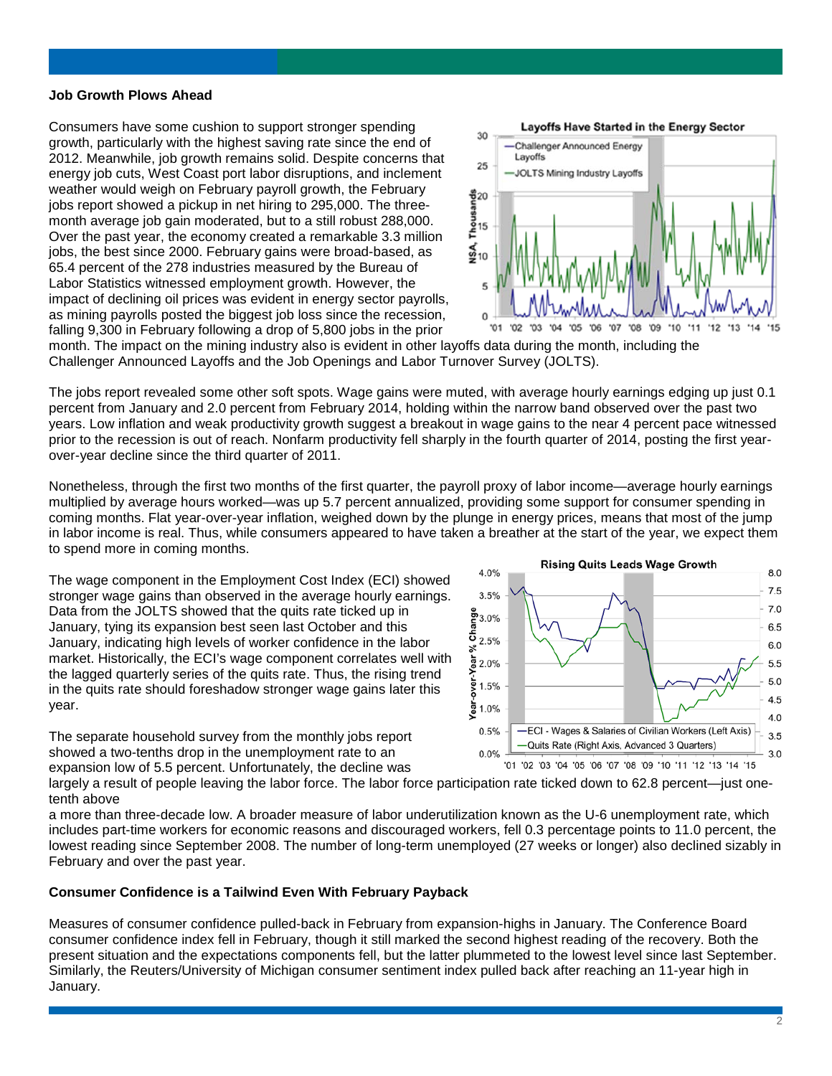#### **Job Growth Plows Ahead**

Consumers have some cushion to support stronger spending growth, particularly with the highest saving rate since the end of 2012. Meanwhile, job growth remains solid. Despite concerns that energy job cuts, West Coast port labor disruptions, and inclement weather would weigh on February payroll growth, the February jobs report showed a pickup in net hiring to 295,000. The threemonth average job gain moderated, but to a still robust 288,000. Over the past year, the economy created a remarkable 3.3 million jobs, the best since 2000. February gains were broad-based, as 65.4 percent of the 278 industries measured by the Bureau of Labor Statistics witnessed employment growth. However, the impact of declining oil prices was evident in energy sector payrolls, as mining payrolls posted the biggest job loss since the recession, falling 9,300 in February following a drop of 5,800 jobs in the prior



month. The impact on the mining industry also is evident in other layoffs data during the month, including the Challenger Announced Layoffs and the Job Openings and Labor Turnover Survey (JOLTS).

The jobs report revealed some other soft spots. Wage gains were muted, with average hourly earnings edging up just 0.1 percent from January and 2.0 percent from February 2014, holding within the narrow band observed over the past two years. Low inflation and weak productivity growth suggest a breakout in wage gains to the near 4 percent pace witnessed prior to the recession is out of reach. Nonfarm productivity fell sharply in the fourth quarter of 2014, posting the first yearover-year decline since the third quarter of 2011.

Nonetheless, through the first two months of the first quarter, the payroll proxy of labor income—average hourly earnings multiplied by average hours worked—was up 5.7 percent annualized, providing some support for consumer spending in coming months. Flat year-over-year inflation, weighed down by the plunge in energy prices, means that most of the jump in labor income is real. Thus, while consumers appeared to have taken a breather at the start of the year, we expect them to spend more in coming months.

The wage component in the Employment Cost Index (ECI) showed stronger wage gains than observed in the average hourly earnings. Data from the JOLTS showed that the quits rate ticked up in January, tying its expansion best seen last October and this January, indicating high levels of worker confidence in the labor market. Historically, the ECI's wage component correlates well with the lagged quarterly series of the quits rate. Thus, the rising trend in the quits rate should foreshadow stronger wage gains later this year.

The separate household survey from the monthly jobs report showed a two-tenths drop in the unemployment rate to an expansion low of 5.5 percent. Unfortunately, the decline was



largely a result of people leaving the labor force. The labor force participation rate ticked down to 62.8 percent—just onetenth above

a more than three-decade low. A broader measure of labor underutilization known as the U-6 unemployment rate, which includes part-time workers for economic reasons and discouraged workers, fell 0.3 percentage points to 11.0 percent, the lowest reading since September 2008. The number of long-term unemployed (27 weeks or longer) also declined sizably in February and over the past year.

#### **Consumer Confidence is a Tailwind Even With February Payback**

Measures of consumer confidence pulled-back in February from expansion-highs in January. The Conference Board consumer confidence index fell in February, though it still marked the second highest reading of the recovery. Both the present situation and the expectations components fell, but the latter plummeted to the lowest level since last September. Similarly, the Reuters/University of Michigan consumer sentiment index pulled back after reaching an 11-year high in January.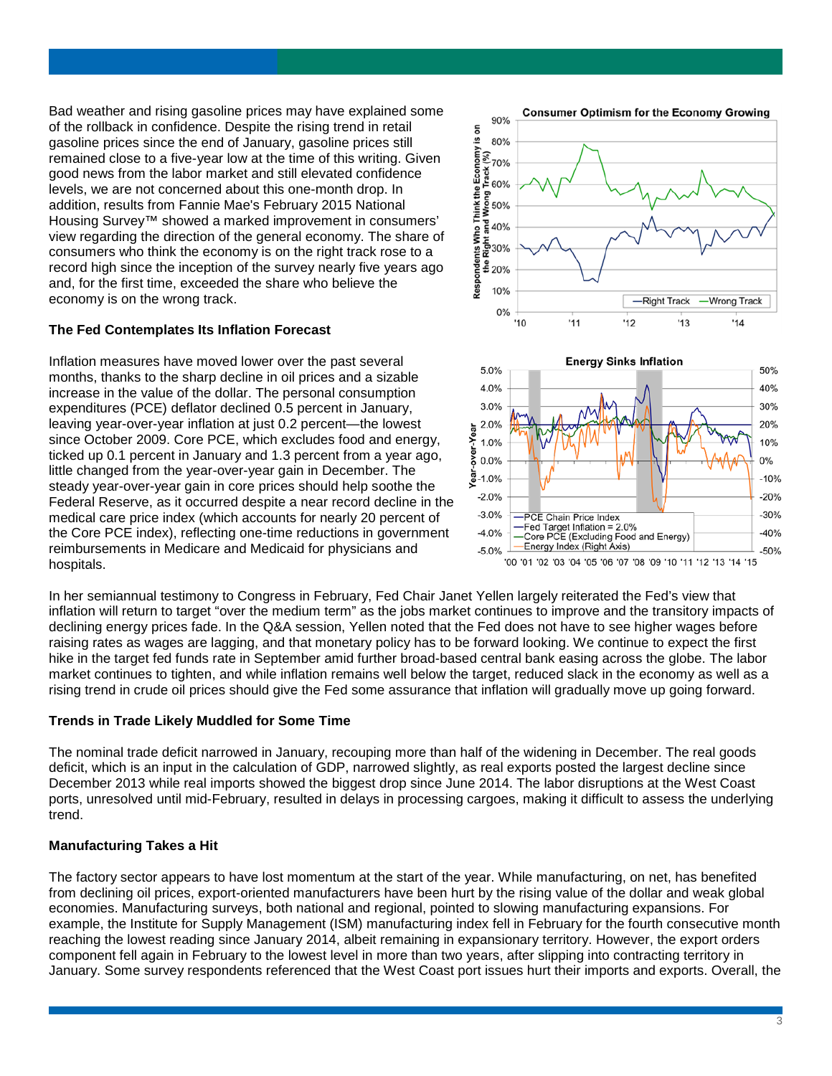Bad weather and rising gasoline prices may have explained some of the rollback in confidence. Despite the rising trend in retail gasoline prices since the end of January, gasoline prices still remained close to a five-year low at the time of this writing. Given good news from the labor market and still elevated confidence levels, we are not concerned about this one-month drop. In addition, results from Fannie Mae's February 2015 National Housing Survey™ showed a marked improvement in consumers' view regarding the direction of the general economy. The share of consumers who think the economy is on the right track rose to a record high since the inception of the survey nearly five years ago and, for the first time, exceeded the share who believe the economy is on the wrong track.

## **The Fed Contemplates Its Inflation Forecast**

Inflation measures have moved lower over the past several months, thanks to the sharp decline in oil prices and a sizable increase in the value of the dollar. The personal consumption expenditures (PCE) deflator declined 0.5 percent in January, leaving year-over-year inflation at just 0.2 percent—the lowest since October 2009. Core PCE, which excludes food and energy, ticked up 0.1 percent in January and 1.3 percent from a year ago, little changed from the year-over-year gain in December. The steady year-over-year gain in core prices should help soothe the Federal Reserve, as it occurred despite a near record decline in the medical care price index (which accounts for nearly 20 percent of the Core PCE index), reflecting one-time reductions in government reimbursements in Medicare and Medicaid for physicians and hospitals.



In her semiannual testimony to Congress in February, Fed Chair Janet Yellen largely reiterated the Fed's view that inflation will return to target "over the medium term" as the jobs market continues to improve and the transitory impacts of declining energy prices fade. In the Q&A session, Yellen noted that the Fed does not have to see higher wages before raising rates as wages are lagging, and that monetary policy has to be forward looking. We continue to expect the first hike in the target fed funds rate in September amid further broad-based central bank easing across the globe. The labor market continues to tighten, and while inflation remains well below the target, reduced slack in the economy as well as a rising trend in crude oil prices should give the Fed some assurance that inflation will gradually move up going forward.

#### **Trends in Trade Likely Muddled for Some Time**

The nominal trade deficit narrowed in January, recouping more than half of the widening in December. The real goods deficit, which is an input in the calculation of GDP, narrowed slightly, as real exports posted the largest decline since December 2013 while real imports showed the biggest drop since June 2014. The labor disruptions at the West Coast ports, unresolved until mid-February, resulted in delays in processing cargoes, making it difficult to assess the underlying trend.

# **Manufacturing Takes a Hit**

The factory sector appears to have lost momentum at the start of the year. While manufacturing, on net, has benefited from declining oil prices, export-oriented manufacturers have been hurt by the rising value of the dollar and weak global economies. Manufacturing surveys, both national and regional, pointed to slowing manufacturing expansions. For example, the Institute for Supply Management (ISM) manufacturing index fell in February for the fourth consecutive month reaching the lowest reading since January 2014, albeit remaining in expansionary territory. However, the export orders component fell again in February to the lowest level in more than two years, after slipping into contracting territory in January. Some survey respondents referenced that the West Coast port issues hurt their imports and exports. Overall, the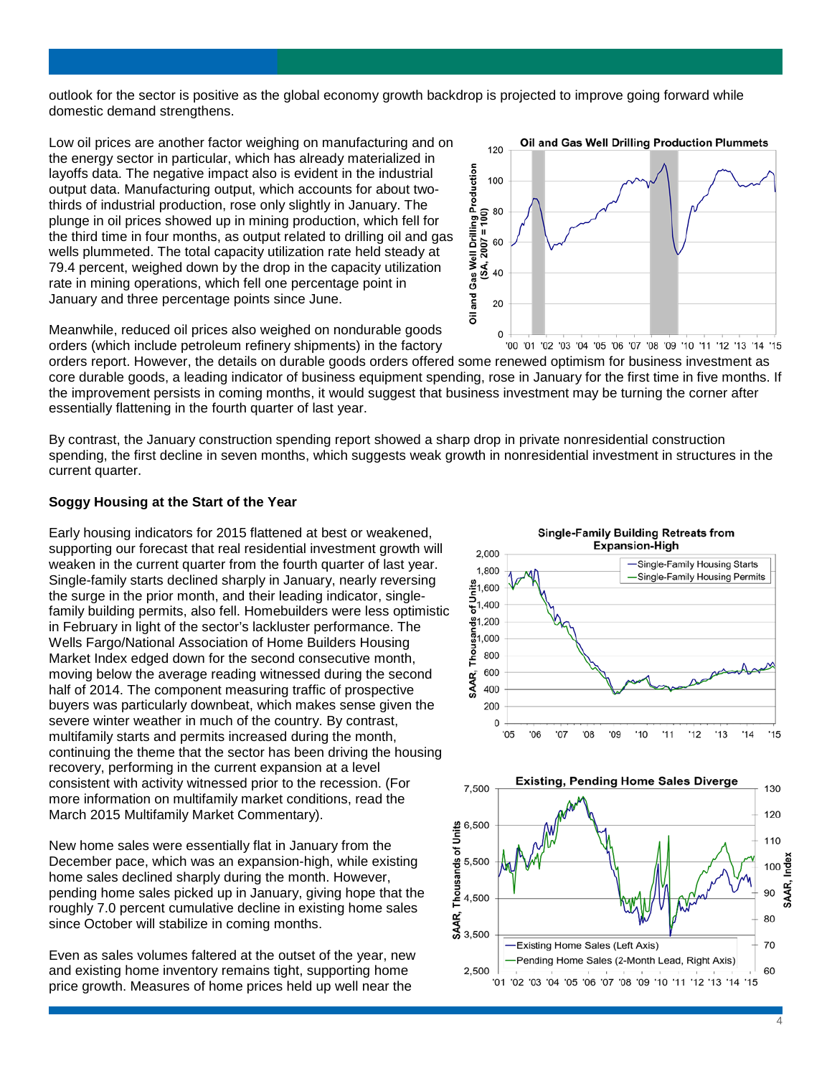outlook for the sector is positive as the global economy growth backdrop is projected to improve going forward while domestic demand strengthens.

Low oil prices are another factor weighing on manufacturing and on the energy sector in particular, which has already materialized in layoffs data. The negative impact also is evident in the industrial output data. Manufacturing output, which accounts for about twothirds of industrial production, rose only slightly in January. The plunge in oil prices showed up in mining production, which fell for the third time in four months, as output related to drilling oil and gas wells plummeted. The total capacity utilization rate held steady at 79.4 percent, weighed down by the drop in the capacity utilization rate in mining operations, which fell one percentage point in January and three percentage points since June.



Meanwhile, reduced oil prices also weighed on nondurable goods orders (which include petroleum refinery shipments) in the factory

orders report. However, the details on durable goods orders offered some renewed optimism for business investment as core durable goods, a leading indicator of business equipment spending, rose in January for the first time in five months. If the improvement persists in coming months, it would suggest that business investment may be turning the corner after essentially flattening in the fourth quarter of last year.

By contrast, the January construction spending report showed a sharp drop in private nonresidential construction spending, the first decline in seven months, which suggests weak growth in nonresidential investment in structures in the current quarter.

## **Soggy Housing at the Start of the Year**

Early housing indicators for 2015 flattened at best or weakened, supporting our forecast that real residential investment growth will weaken in the current quarter from the fourth quarter of last year. Single-family starts declined sharply in January, nearly reversing the surge in the prior month, and their leading indicator, singlefamily building permits, also fell. Homebuilders were less optimistic in February in light of the sector's lackluster performance. The Wells Fargo/National Association of Home Builders Housing Market Index edged down for the second consecutive month, moving below the average reading witnessed during the second half of 2014. The component measuring traffic of prospective buyers was particularly downbeat, which makes sense given the severe winter weather in much of the country. By contrast, multifamily starts and permits increased during the month, continuing the theme that the sector has been driving the housing recovery, performing in the current expansion at a level consistent with activity witnessed prior to the recession. (For more information on multifamily market conditions, read the March 2015 Multifamily Market Commentary).

New home sales were essentially flat in January from the December pace, which was an expansion-high, while existing home sales declined sharply during the month. However, pending home sales picked up in January, giving hope that the roughly 7.0 percent cumulative decline in existing home sales since October will stabilize in coming months.

Even as sales volumes faltered at the outset of the year, new and existing home inventory remains tight, supporting home price growth. Measures of home prices held up well near the





 $\Delta$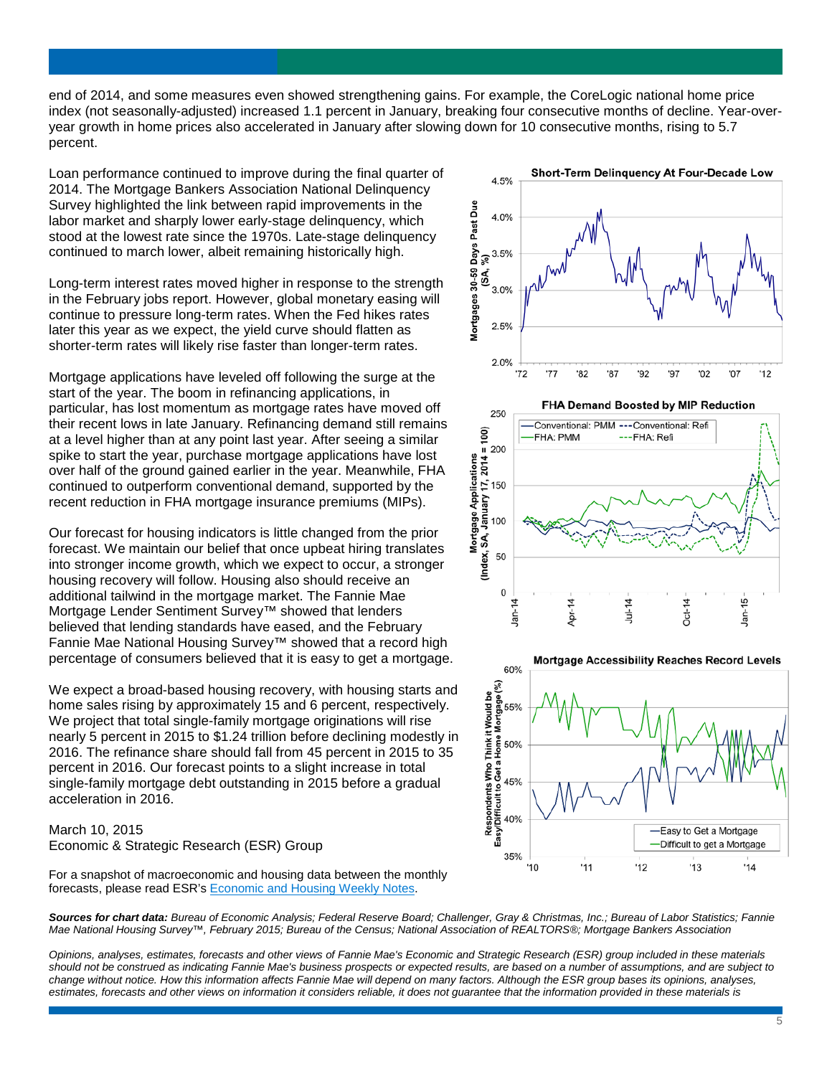end of 2014, and some measures even showed strengthening gains. For example, the CoreLogic national home price index (not seasonally-adjusted) increased 1.1 percent in January, breaking four consecutive months of decline. Year-overyear growth in home prices also accelerated in January after slowing down for 10 consecutive months, rising to 5.7 percent.

Loan performance continued to improve during the final quarter of 2014. The Mortgage Bankers Association National Delinquency Survey highlighted the link between rapid improvements in the labor market and sharply lower early-stage delinquency, which stood at the lowest rate since the 1970s. Late-stage delinquency continued to march lower, albeit remaining historically high.

Long-term interest rates moved higher in response to the strength in the February jobs report. However, global monetary easing will continue to pressure long-term rates. When the Fed hikes rates later this year as we expect, the yield curve should flatten as shorter-term rates will likely rise faster than longer-term rates.

Mortgage applications have leveled off following the surge at the start of the year. The boom in refinancing applications, in particular, has lost momentum as mortgage rates have moved off their recent lows in late January. Refinancing demand still remains at a level higher than at any point last year. After seeing a similar spike to start the year, purchase mortgage applications have lost over half of the ground gained earlier in the year. Meanwhile, FHA continued to outperform conventional demand, supported by the recent reduction in FHA mortgage insurance premiums (MIPs).

Our forecast for housing indicators is little changed from the prior forecast. We maintain our belief that once upbeat hiring translates into stronger income growth, which we expect to occur, a stronger housing recovery will follow. Housing also should receive an additional tailwind in the mortgage market. The Fannie Mae Mortgage Lender Sentiment Survey™ showed that lenders believed that lending standards have eased, and the February Fannie Mae National Housing Survey™ showed that a record high percentage of consumers believed that it is easy to get a mortgage.

We expect a broad-based housing recovery, with housing starts and home sales rising by approximately 15 and 6 percent, respectively. We project that total single-family mortgage originations will rise nearly 5 percent in 2015 to \$1.24 trillion before declining modestly in 2016. The refinance share should fall from 45 percent in 2015 to 35 percent in 2016. Our forecast points to a slight increase in total single-family mortgage debt outstanding in 2015 before a gradual acceleration in 2016.

# March 10, 2015 Economic & Strategic Research (ESR) Group

For a snapshot of macroeconomic and housing data between the monthly forecasts, please read ESR'[s Economic and Housing Weekly Notes.](http://www.fanniemae.com/portal/research-and-analysis/emma.html)



 $\pmb{0}$ 

Jan-

Apr-14

*Opinions, analyses, estimates, forecasts and other views of Fannie Mae's Economic and Strategic Research (ESR) group included in these materials should not be construed as indicating Fannie Mae's business prospects or expected results, are based on a number of assumptions, and are subject to change without notice. How this information affects Fannie Mae will depend on many factors. Although the ESR group bases its opinions, analyses, estimates, forecasts and other views on information it considers reliable, it does not guarantee that the information provided in these materials is* 





Jul-14

Oct-14

 $Jan-15$